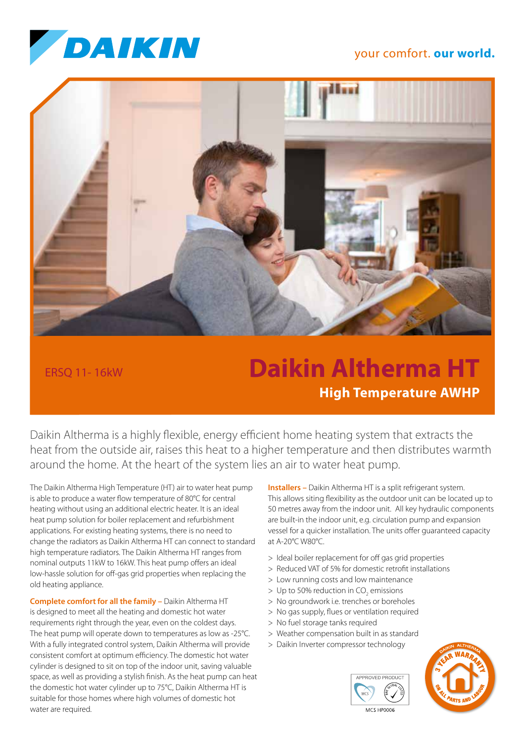

## your comfort. **our world.**



ERSQ 11- 16kW

## **Daikin Altherma HT High Temperature AWHP**

Daikin Altherma is a highly flexible, energy efficient home heating system that extracts the heat from the outside air, raises this heat to a higher temperature and then distributes warmth around the home. At the heart of the system lies an air to water heat pump.

The Daikin Altherma High Temperature (HT) air to water heat pump is able to produce a water flow temperature of 80°C for central heating without using an additional electric heater. It is an ideal heat pump solution for boiler replacement and refurbishment applications. For existing heating systems, there is no need to change the radiators as Daikin Altherma HT can connect to standard high temperature radiators. The Daikin Altherma HT ranges from nominal outputs 11kW to 16kW. This heat pump offers an ideal low-hassle solution for off-gas grid properties when replacing the old heating appliance.

**Complete comfort for all the family –** Daikin Altherma HT is designed to meet all the heating and domestic hot water requirements right through the year, even on the coldest days. The heat pump will operate down to temperatures as low as -25°C. With a fully integrated control system, Daikin Altherma will provide consistent comfort at optimum efficiency. The domestic hot water cylinder is designed to sit on top of the indoor unit, saving valuable space, as well as providing a stylish finish. As the heat pump can heat the domestic hot water cylinder up to 75°C, Daikin Altherma HT is suitable for those homes where high volumes of domestic hot water are required.

**Installers –** Daikin Altherma HT is a split refrigerant system. This allows siting flexibility as the outdoor unit can be located up to 50 metres away from the indoor unit. All key hydraulic components are built-in the indoor unit, e.g. circulation pump and expansion vessel for a quicker installation. The units offer guaranteed capacity at A-20°C W80°C.

- > Ideal boiler replacement for off gas grid properties
- > Reduced VAT of 5% for domestic retrofit installations
- > Low running costs and low maintenance
- $>$  Up to 50% reduction in CO<sub>2</sub> emissions
- > No groundwork i.e. trenches or boreholes
- > No gas supply, flues or ventilation required
- > No fuel storage tanks required
- > Weather compensation built in as standard
- > Daikin Inverter compressor technology